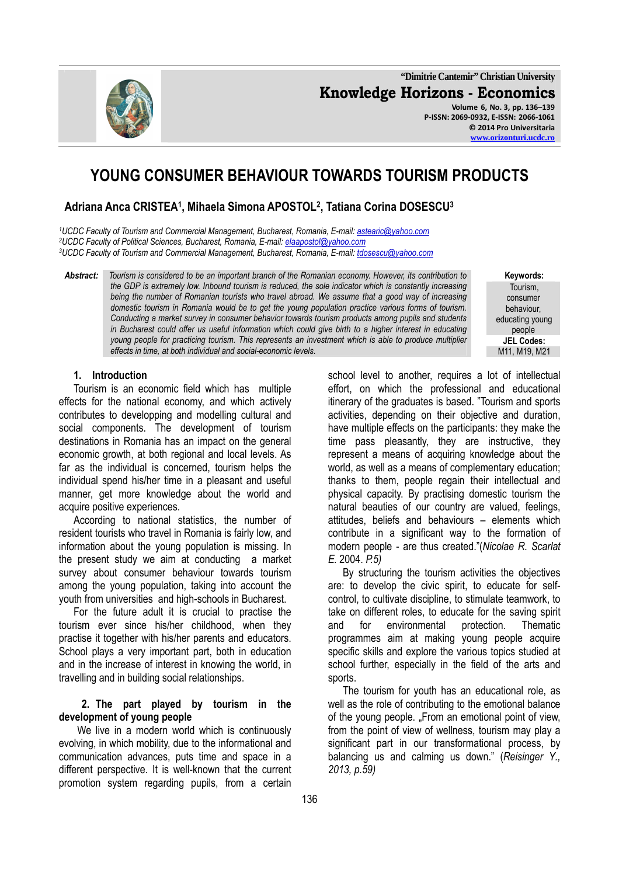

**"Dimitrie Cantemir" Christian University Knowledge Horizons - Economics Volume 6, No. 3, pp. 136–139 P-ISSN: 2069-0932, E-ISSN: 2066-1061 © 2014 Pro Universitaria www.orizonturi.ucdc.ro**

# **YOUNG CONSUMER BEHAVIOUR TOWARDS TOURISM PRODUCTS**

# **Adriana Anca CRISTEA<sup>1</sup> , Mihaela Simona APOSTOL<sup>2</sup> , Tatiana Corina DOSESCU<sup>3</sup>**

*<sup>1</sup>UCDC Faculty of Tourism and Commercial Management, Bucharest, Romania, E-mail: astearic@yahoo.com <sup>2</sup>UCDC Faculty of Political Sciences, Bucharest, Romania, E-mail: elaapostol@yahoo.com <sup>3</sup>UCDC Faculty of Tourism and Commercial Management, Bucharest, Romania, E-mail: tdosescu@yahoo.com*

*Abstract: Tourism is considered to be an important branch of the Romanian economy. However, its contribution to the GDP is extremely low. Inbound tourism is reduced, the sole indicator which is constantly increasing being the number of Romanian tourists who travel abroad. We assume that a good way of increasing domestic tourism in Romania would be to get the young population practice various forms of tourism. Conducting a market survey in consumer behavior towards tourism products among pupils and students in Bucharest could offer us useful information which could give birth to a higher interest in educating young people for practicing tourism. This represents an investment which is able to produce multiplier effects in time, at both individual and social-economic levels.* 

**Keywords:** Tourism, consumer behaviour, educating young people **JEL Codes:** 

#### **1. Introduction**

Tourism is an economic field which has multiple effects for the national economy, and which actively contributes to developping and modelling cultural and social components. The development of tourism destinations in Romania has an impact on the general economic growth, at both regional and local levels. As far as the individual is concerned, tourism helps the individual spend his/her time in a pleasant and useful manner, get more knowledge about the world and acquire positive experiences.

According to national statistics, the number of resident tourists who travel in Romania is fairly low, and information about the young population is missing. In the present study we aim at conducting a market survey about consumer behaviour towards tourism among the young population, taking into account the youth from universities and high-schools in Bucharest.

For the future adult it is crucial to practise the tourism ever since his/her childhood, when they practise it together with his/her parents and educators. School plays a very important part, both in education and in the increase of interest in knowing the world, in travelling and in building social relationships.

#### **2. The part played by tourism in the development of young people**

We live in a modern world which is continuously evolving, in which mobility, due to the informational and communication advances, puts time and space in a different perspective. It is well-known that the current promotion system regarding pupils, from a certain

school level to another, requires a lot of intellectual effort, on which the professional and educational itinerary of the graduates is based. "Tourism and sports activities, depending on their objective and duration, have multiple effects on the participants: they make the time pass pleasantly, they are instructive, they represent a means of acquiring knowledge about the world, as well as a means of complementary education; thanks to them, people regain their intellectual and physical capacity. By practising domestic tourism the natural beauties of our country are valued, feelings, attitudes, beliefs and behaviours – elements which contribute in a significant way to the formation of modern people - are thus created."(*Nicolae R. Scarlat E.* 2004. *P.5)* 

By structuring the tourism activities the objectives are: to develop the civic spirit, to educate for selfcontrol, to cultivate discipline, to stimulate teamwork, to take on different roles, to educate for the saving spirit and for environmental protection. Thematic programmes aim at making young people acquire specific skills and explore the various topics studied at school further, especially in the field of the arts and sports.

The tourism for youth has an educational role, as well as the role of contributing to the emotional balance of the young people. ..From an emotional point of view. from the point of view of wellness, tourism may play a significant part in our transformational process, by balancing us and calming us down." (*Reisinger Y., 2013, p.59)*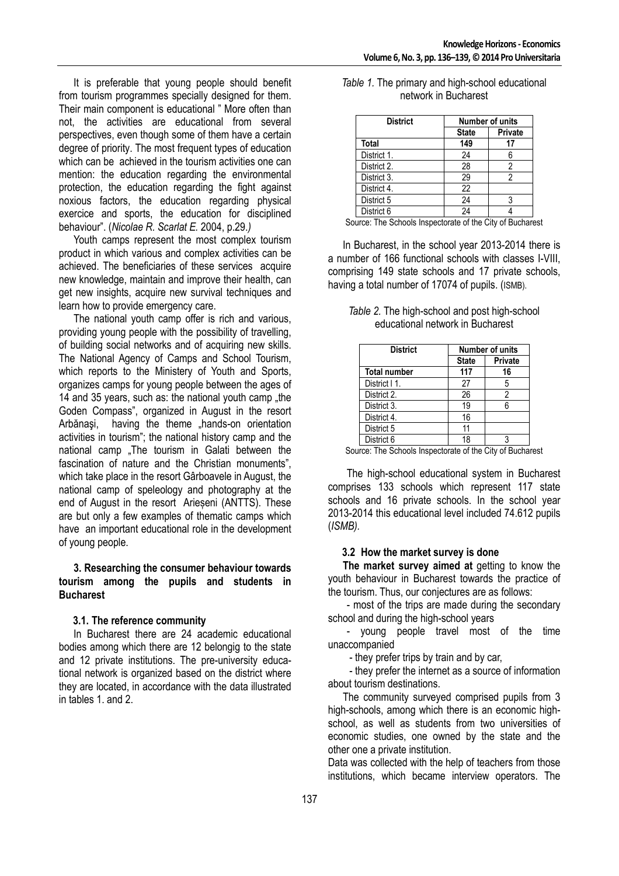It is preferable that young people should benefit from tourism programmes specially designed for them. Their main component is educational " More often than not, the activities are educational from several perspectives, even though some of them have a certain degree of priority. The most frequent types of education which can be achieved in the tourism activities one can mention: the education regarding the environmental protection, the education regarding the fight against noxious factors, the education regarding physical exercice and sports, the education for disciplined behaviour". (*Nicolae R. Scarlat E.* 2004, p.29.*)*

Youth camps represent the most complex tourism product in which various and complex activities can be achieved. The beneficiaries of these services acquire new knowledge, maintain and improve their health, can get new insights, acquire new survival techniques and learn how to provide emergency care.

The national youth camp offer is rich and various, providing young people with the possibility of travelling, of building social networks and of acquiring new skills. The National Agency of Camps and School Tourism, which reports to the Ministery of Youth and Sports, organizes camps for young people between the ages of 14 and 35 years, such as: the national youth camp "the Goden Compass", organized in August in the resort Arbănași, having the theme "hands-on orientation activities in tourism"; the national history camp and the national camp .The tourism in Galati between the fascination of nature and the Christian monuments", which take place in the resort Gârboavele in August, the national camp of speleology and photography at the end of August in the resort Arieșeni (ANTTS). These are but only a few examples of thematic camps which have an important educational role in the development of young people.

#### **3. Researching the consumer behaviour towards tourism among the pupils and students in Bucharest**

### **3.1. The reference community**

In Bucharest there are 24 academic educational bodies among which there are 12 belongig to the state and 12 private institutions. The pre-university educational network is organized based on the district where they are located, in accordance with the data illustrated in tables 1. and 2.

| <b>District</b> |              | <b>Number of units</b> |  |
|-----------------|--------------|------------------------|--|
|                 | <b>State</b> | <b>Private</b>         |  |
| <b>Total</b>    | 149          | 17                     |  |
| District 1.     | 24           | 6                      |  |
| District 2.     | 28           | 2                      |  |
| District 3.     | 29           | 2                      |  |
| District 4.     | 22           |                        |  |
| District 5      | 24           | 3                      |  |
| District 6      | 24           |                        |  |

*Table 1.* The primary and high-school educational network in Bucharest

Source: The Schools Inspectorate of the City of Bucharest

In Bucharest, in the school year 2013-2014 there is a number of 166 functional schools with classes I-VIII, comprising 149 state schools and 17 private schools, having a total number of 17074 of pupils. (ISMB).

*Table 2.* The high-school and post high-school educational network in Bucharest

| <b>District</b>     | <b>Number of units</b> |                |
|---------------------|------------------------|----------------|
|                     | <b>State</b>           | <b>Private</b> |
| <b>Total number</b> | 117                    | 16             |
| District   1.       | 27                     | 5              |
| District 2.         | 26                     | 2              |
| District 3.         | 19                     | 6              |
| District 4.         | 16                     |                |
| District 5          | 11                     |                |
| District 6          | 18                     |                |

Source: The Schools Inspectorate of the City of Bucharest

 The high-school educational system in Bucharest comprises 133 schools which represent 117 state schools and 16 private schools. In the school year 2013-2014 this educational level included 74.612 pupils (*ISMB).* 

### **3.2 How the market survey is done**

**The market survey aimed at** getting to know the youth behaviour in Bucharest towards the practice of the tourism. Thus, our conjectures are as follows:

 - most of the trips are made during the secondary school and during the high-school years

 - young people travel most of the time unaccompanied

- they prefer trips by train and by car,

 - they prefer the internet as a source of information about tourism destinations.

The community surveyed comprised pupils from 3 high-schools, among which there is an economic highschool, as well as students from two universities of economic studies, one owned by the state and the other one a private institution.

Data was collected with the help of teachers from those institutions, which became interview operators. The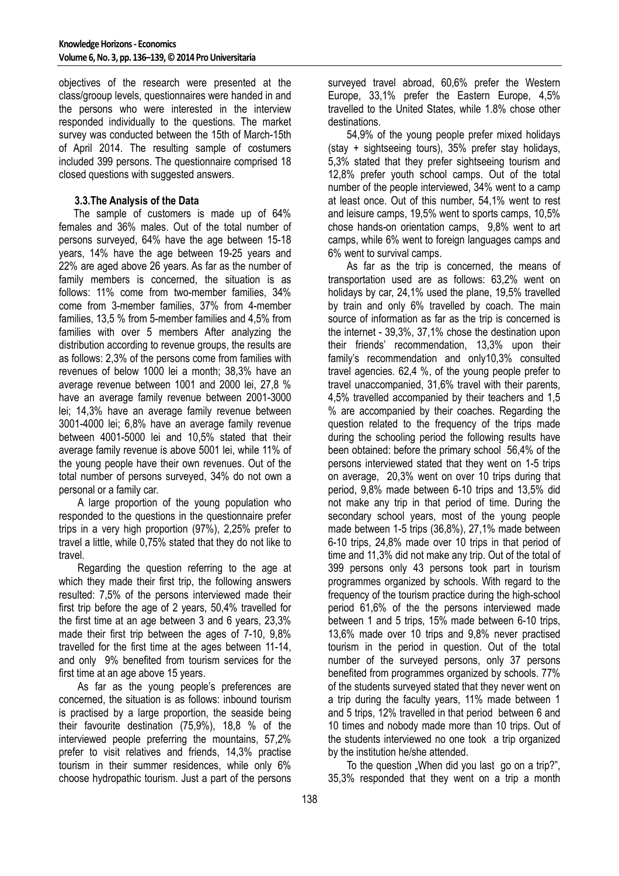objectives of the research were presented at the class/grooup levels, questionnaires were handed in and the persons who were interested in the interview responded individually to the questions. The market survey was conducted between the 15th of March-15th of April 2014. The resulting sample of costumers included 399 persons. The questionnaire comprised 18 closed questions with suggested answers.

## **3.3.The Analysis of the Data**

The sample of customers is made up of 64% females and 36% males. Out of the total number of persons surveyed, 64% have the age between 15-18 years, 14% have the age between 19-25 years and 22% are aged above 26 years. As far as the number of family members is concerned, the situation is as follows: 11% come from two-member families, 34% come from 3-member families, 37% from 4-member families, 13,5 % from 5-member families and 4,5% from families with over 5 members After analyzing the distribution according to revenue groups, the results are as follows: 2,3% of the persons come from families with revenues of below 1000 lei a month; 38,3% have an average revenue between 1001 and 2000 lei, 27,8 % have an average family revenue between 2001-3000 lei; 14,3% have an average family revenue between 3001-4000 lei; 6,8% have an average family revenue between 4001-5000 lei and 10,5% stated that their average family revenue is above 5001 lei, while 11% of the young people have their own revenues. Out of the total number of persons surveyed, 34% do not own a personal or a family car.

 A large proportion of the young population who responded to the questions in the questionnaire prefer trips in a very high proportion (97%), 2,25% prefer to travel a little, while 0,75% stated that they do not like to travel.

 Regarding the question referring to the age at which they made their first trip, the following answers resulted: 7,5% of the persons interviewed made their first trip before the age of 2 years, 50,4% travelled for the first time at an age between 3 and 6 years, 23,3% made their first trip between the ages of 7-10, 9,8% travelled for the first time at the ages between 11-14, and only 9% benefited from tourism services for the first time at an age above 15 years.

 As far as the young people's preferences are concerned, the situation is as follows: inbound tourism is practised by a large proportion, the seaside being their favourite destination (75,9%), 18,8 % of the interviewed people preferring the mountains, 57,2% prefer to visit relatives and friends, 14,3% practise tourism in their summer residences, while only 6% choose hydropathic tourism. Just a part of the persons surveyed travel abroad, 60,6% prefer the Western Europe, 33,1% prefer the Eastern Europe, 4,5% travelled to the United States, while 1.8% chose other destinations.

 54,9% of the young people prefer mixed holidays (stay + sightseeing tours), 35% prefer stay holidays, 5,3% stated that they prefer sightseeing tourism and 12,8% prefer youth school camps. Out of the total number of the people interviewed, 34% went to a camp at least once. Out of this number, 54,1% went to rest and leisure camps, 19,5% went to sports camps, 10,5% chose hands-on orientation camps, 9,8% went to art camps, while 6% went to foreign languages camps and 6% went to survival camps.

 As far as the trip is concerned, the means of transportation used are as follows: 63,2% went on holidays by car, 24,1% used the plane, 19,5% travelled by train and only 6% travelled by coach. The main source of information as far as the trip is concerned is the internet - 39,3%, 37,1% chose the destination upon their friends' recommendation, 13,3% upon their family's recommendation and only10,3% consulted travel agencies. 62,4 %, of the young people prefer to travel unaccompanied, 31,6% travel with their parents, 4,5% travelled accompanied by their teachers and 1,5 % are accompanied by their coaches. Regarding the question related to the frequency of the trips made during the schooling period the following results have been obtained: before the primary school 56,4% of the persons interviewed stated that they went on 1-5 trips on average, 20,3% went on over 10 trips during that period, 9,8% made between 6-10 trips and 13,5% did not make any trip in that period of time. During the secondary school years, most of the young people made between 1-5 trips (36,8%), 27,1% made between 6-10 trips, 24,8% made over 10 trips in that period of time and 11,3% did not make any trip. Out of the total of 399 persons only 43 persons took part in tourism programmes organized by schools. With regard to the frequency of the tourism practice during the high-school period 61,6% of the the persons interviewed made between 1 and 5 trips, 15% made between 6-10 trips, 13,6% made over 10 trips and 9,8% never practised tourism in the period in question. Out of the total number of the surveyed persons, only 37 persons benefited from programmes organized by schools. 77% of the students surveyed stated that they never went on a trip during the faculty years, 11% made between 1 and 5 trips, 12% travelled in that period between 6 and 10 times and nobody made more than 10 trips. Out of the students interviewed no one took a trip organized by the institution he/she attended.

To the question "When did you last go on a trip?", 35,3% responded that they went on a trip a month